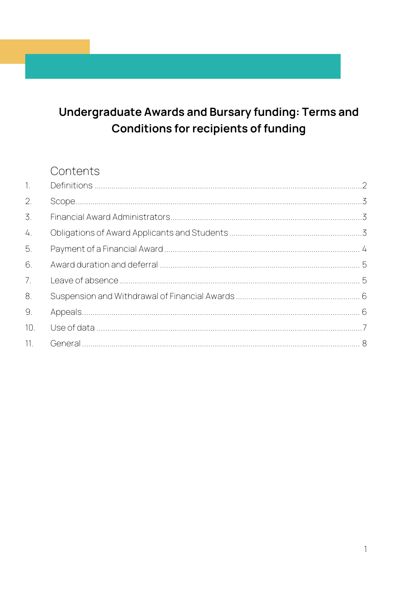#### Undergraduate Awards and Bursary funding: Terms and **Conditions for recipients of funding**

#### Contents

| $\overline{1}$ . |  |
|------------------|--|
| 2.               |  |
| 3.               |  |
| 4.               |  |
| 5.               |  |
| 6.               |  |
| 7 <sub>1</sub>   |  |
| 8.               |  |
| 9.               |  |
| 10.              |  |
| 11.              |  |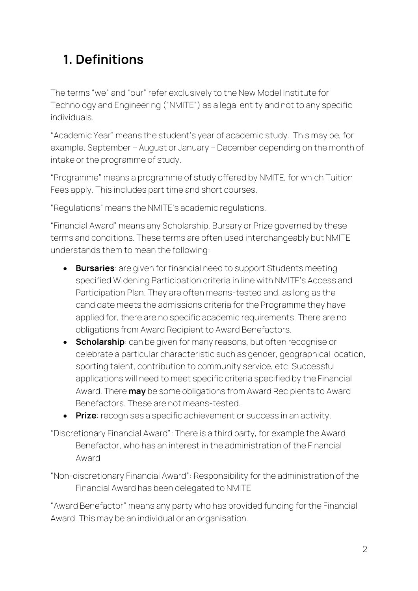# <span id="page-1-0"></span>**1. Definitions**

The terms "we" and "our" refer exclusively to the New Model Institute for Technology and Engineering ("NMITE") as a legal entity and not to any specific individuals.

"Academic Year" means the student's year of academic study. This may be, for example, September – August or January – December depending on the month of intake or the programme of study.

"Programme" means a programme of study offered by NMITE, for which Tuition Fees apply. This includes part time and short courses.

"Regulations" means the NMITE's academic regulations.

"Financial Award" means any Scholarship, Bursary or Prize governed by these terms and conditions. These terms are often used interchangeably but NMITE understands them to mean the following:

- **Bursaries**: are given for financial need to support Students meeting specified Widening Participation criteria in line with NMITE's Access and Participation Plan. They are often means-tested and, as long as the candidate meets the admissions criteria for the Programme they have applied for, there are no specific academic requirements. There are no obligations from Award Recipient to Award Benefactors.
- **Scholarship**: can be given for many reasons, but often recognise or celebrate a particular characteristic such as gender, geographical location, sporting talent, contribution to community service, etc. Successful applications will need to meet specific criteria specified by the Financial Award. There **may** be some obligations from Award Recipients to Award Benefactors. These are not means-tested.
- **Prize**: recognises a specific achievement or success in an activity.
- "Discretionary Financial Award": There is a third party, for example the Award Benefactor, who has an interest in the administration of the Financial Award
- "Non-discretionary Financial Award": Responsibility for the administration of the Financial Award has been delegated to NMITE

"Award Benefactor" means any party who has provided funding for the Financial Award. This may be an individual or an organisation.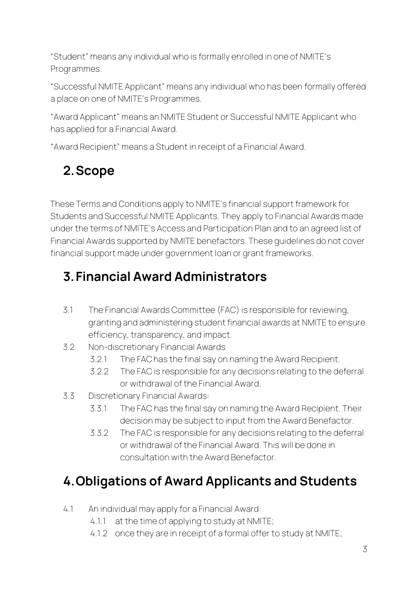"Student" means any individual who is formally enrolled in one of NMITE's Programmes.

"Successful NMITE Applicant" means any individual who has been formally offered a place on one of NMITE's Programmes.

"Award Applicant" means an NMITE Student or Successful NMITE Applicant who has applied for a Financial Award.

"Award Recipient" means a Student in receipt of a Financial Award.

# <span id="page-2-0"></span>**2.Scope**

These Terms and Conditions apply to NMITE's financial support framework for Students and Successful NMITE Applicants. They apply to Financial Awards made under the terms of NMITE's Access and Participation Plan and to an agreed list of Financial Awards supported by NMITE benefactors. These guidelines do not cover financial support made under government loan or grant frameworks.

# <span id="page-2-1"></span>**3.Financial Award Administrators**

- 3.1 The Financial Awards Committee (FAC) is responsible for reviewing, granting and administering student financial awards at NMITE to ensure efficiency, transparency, and impact.
- 3.2 Non-discretionary Financial Awards
	- 3.2.1 The FAC has the final say on naming the Award Recipient.
	- 3.2.2 The FAC is responsible for any decisions relating to the deferral or withdrawal of the Financial Award.
- 3.3 Discretionary Financial Awards:
	- 3.3.1 The FAC has the final say on naming the Award Recipient. Their decision may be subject to input from the Award Benefactor.
	- 3.3.2 The FAC is responsible for any decisions relating to the deferral or withdrawal of the Financial Award. This will be done in consultation with the Award Benefactor.

# <span id="page-2-2"></span>**4.Obligations of Award Applicants and Students**

- 4.1 An individual may apply for a Financial Award:
	- 4.1.1 at the time of applying to study at NMITE;
	- 4.1.2 once they are in receipt of a formal offer to study at NMITE;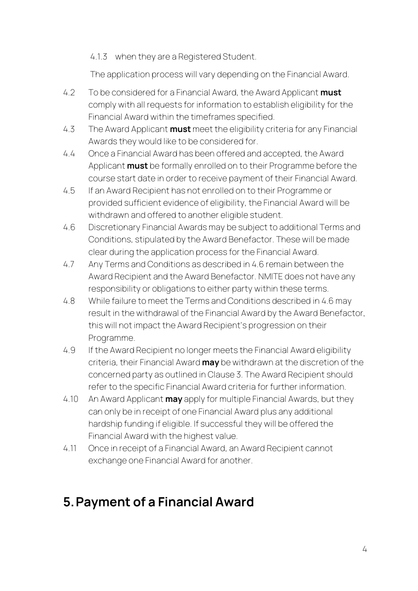4.1.3 when they are a Registered Student.

The application process will vary depending on the Financial Award.

- 4.2 To be considered for a Financial Award, the Award Applicant **must** comply with all requests for information to establish eligibility for the Financial Award within the timeframes specified.
- 4.3 The Award Applicant **must** meet the eligibility criteria for any Financial Awards they would like to be considered for.
- 4.4 Once a Financial Award has been offered and accepted, the Award Applicant **must** be formally enrolled on to their Programme before the course start date in order to receive payment of their Financial Award.
- 4.5 If an Award Recipient has not enrolled on to their Programme or provided sufficient evidence of eligibility, the Financial Award will be withdrawn and offered to another eligible student.
- 4.6 Discretionary Financial Awards may be subject to additional Terms and Conditions, stipulated by the Award Benefactor. These will be made clear during the application process for the Financial Award.
- 4.7 Any Terms and Conditions as described in 4.6 remain between the Award Recipient and the Award Benefactor. NMITE does not have any responsibility or obligations to either party within these terms.
- 4.8 While failure to meet the Terms and Conditions described in 4.6 may result in the withdrawal of the Financial Award by the Award Benefactor, this will not impact the Award Recipient's progression on their Programme.
- 4.9 If the Award Recipient no longer meets the Financial Award eligibility criteria, their Financial Award **may** be withdrawn at the discretion of the concerned party as outlined in Clause 3. The Award Recipient should refer to the specific Financial Award criteria for further information.
- 4.10 An Award Applicant **may** apply for multiple Financial Awards, but they can only be in receipt of one Financial Award plus any additional hardship funding if eligible. If successful they will be offered the Financial Award with the highest value.
- 4.11 Once in receipt of a Financial Award, an Award Recipient cannot exchange one Financial Award for another.

# <span id="page-3-0"></span>**5.Payment of a Financial Award**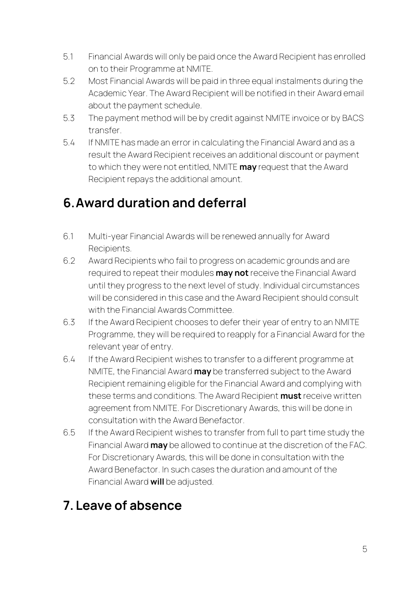- 5.1 Financial Awards will only be paid once the Award Recipient has enrolled on to their Programme at NMITE.
- 5.2 Most Financial Awards will be paid in three equal instalments during the Academic Year. The Award Recipient will be notified in their Award email about the payment schedule.
- 5.3 The payment method will be by credit against NMITE invoice or by BACS transfer.
- 5.4 If NMITE has made an error in calculating the Financial Award and as a result the Award Recipient receives an additional discount or payment to which they were not entitled, NMITE **may** request that the Award Recipient repays the additional amount.

### <span id="page-4-0"></span>**6.Award duration and deferral**

- 6.1 Multi-year Financial Awards will be renewed annually for Award Recipients.
- 6.2 Award Recipients who fail to progress on academic grounds and are required to repeat their modules **may not** receive the Financial Award until they progress to the next level of study. Individual circumstances will be considered in this case and the Award Recipient should consult with the Financial Awards Committee.
- 6.3 If the Award Recipient chooses to defer their year of entry to an NMITE Programme, they will be required to reapply for a Financial Award for the relevant year of entry.
- 6.4 If the Award Recipient wishes to transfer to a different programme at NMITE, the Financial Award **may** be transferred subject to the Award Recipient remaining eligible for the Financial Award and complying with these terms and conditions. The Award Recipient **must** receive written agreement from NMITE. For Discretionary Awards, this will be done in consultation with the Award Benefactor.
- 6.5 If the Award Recipient wishes to transfer from full to part time study the Financial Award **may** be allowed to continue at the discretion of the FAC. For Discretionary Awards, this will be done in consultation with the Award Benefactor. In such cases the duration and amount of the Financial Award **will** be adjusted.

### <span id="page-4-1"></span>**7. Leave of absence**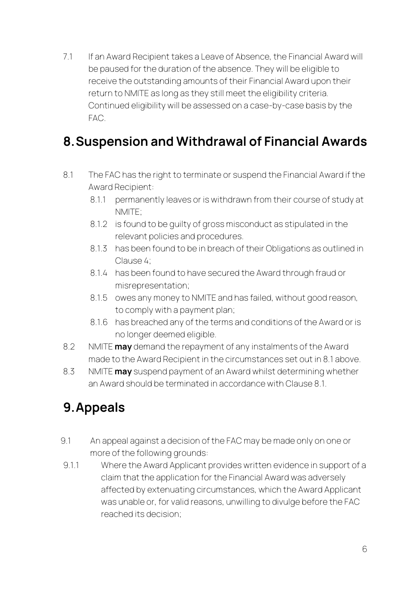7.1 If an Award Recipient takes a Leave of Absence, the Financial Award will be paused for the duration of the absence. They will be eligible to receive the outstanding amounts of their Financial Award upon their return to NMITE as long as they still meet the eligibility criteria. Continued eligibility will be assessed on a case-by-case basis by the FAC.

#### <span id="page-5-0"></span>**8.Suspension and Withdrawal of Financial Awards**

- 8.1 The FAC has the right to terminate or suspend the Financial Award if the Award Recipient:
	- 8.1.1 permanently leaves or is withdrawn from their course of study at NMITE;
	- 8.1.2 is found to be guilty of gross misconduct as stipulated in the relevant policies and procedures.
	- 8.1.3 has been found to be in breach of their Obligations as outlined in Clause 4;
	- 8.1.4 has been found to have secured the Award through fraud or misrepresentation;
	- 8.1.5 owes any money to NMITE and has failed, without good reason, to comply with a payment plan;
	- 8.1.6 has breached any of the terms and conditions of the Award or is no longer deemed eligible.
- 8.2 NMITE **may** demand the repayment of any instalments of the Award made to the Award Recipient in the circumstances set out in 8.1 above.
- 8.3 NMITE **may** suspend payment of an Award whilst determining whether an Award should be terminated in accordance with Clause 8.1.

# <span id="page-5-1"></span>**9.Appeals**

- 9.1 An appeal against a decision of the FAC may be made only on one or more of the following grounds:
- 9.1.1 Where the Award Applicant provides written evidence in support of a claim that the application for the Financial Award was adversely affected by extenuating circumstances, which the Award Applicant was unable or, for valid reasons, unwilling to divulge before the FAC reached its decision;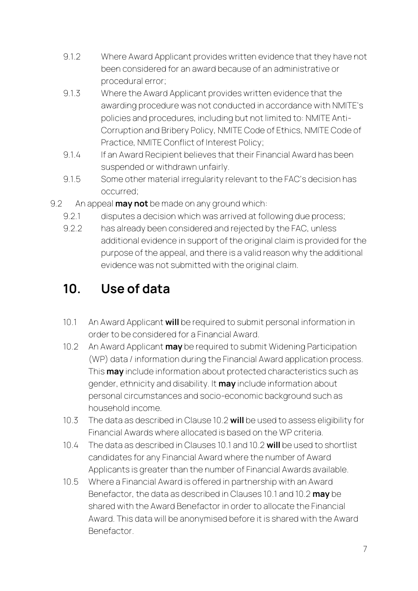- 9.1.2 Where Award Applicant provides written evidence that they have not been considered for an award because of an administrative or procedural error;
- 9.1.3 Where the Award Applicant provides written evidence that the awarding procedure was not conducted in accordance with NMITE's policies and procedures, including but not limited to: NMITE Anti-Corruption and Bribery Policy, NMITE Code of Ethics, NMITE Code of Practice, NMITE Conflict of Interest Policy;
- 9.1.4 If an Award Recipient believes that their Financial Award has been suspended or withdrawn unfairly.
- 9.1.5 Some other material irregularity relevant to the FAC's decision has occurred;
- 9.2 An appeal **may not** be made on any ground which:
	- 9.2.1 disputes a decision which was arrived at following due process;
	- 9.2.2 has already been considered and rejected by the FAC, unless additional evidence in support of the original claim is provided for the purpose of the appeal, and there is a valid reason why the additional evidence was not submitted with the original claim.

# <span id="page-6-0"></span>**10. Use of data**

- 10.1 An Award Applicant **will** be required to submit personal information in order to be considered for a Financial Award.
- 10.2 An Award Applicant **may** be required to submit Widening Participation (WP) data / information during the Financial Award application process. This **may** include information about protected characteristics such as gender, ethnicity and disability. It **may** include information about personal circumstances and socio-economic background such as household income.
- 10.3 The data as described in Clause 10.2 **will** be used to assess eligibility for Financial Awards where allocated is based on the WP criteria.
- 10.4 The data as described in Clauses 10.1 and 10.2 **will** be used to shortlist candidates for any Financial Award where the number of Award Applicants is greater than the number of Financial Awards available.
- 10.5 Where a Financial Award is offered in partnership with an Award Benefactor, the data as described in Clauses 10.1 and 10.2 **may** be shared with the Award Benefactor in order to allocate the Financial Award. This data will be anonymised before it is shared with the Award **Benefactor**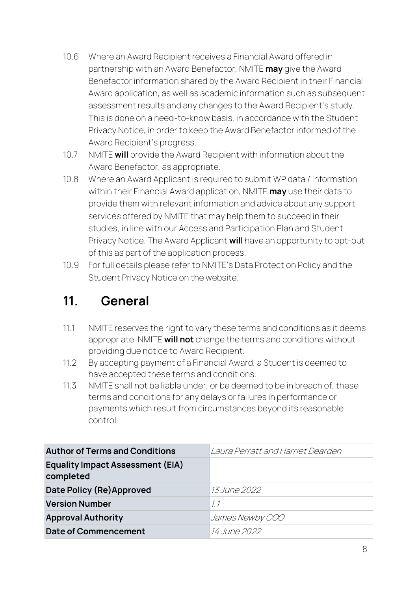- 10.6 Where an Award Recipient receives a Financial Award offered in partnership with an Award Benefactor, NMITE **may** give the Award Benefactor information shared by the Award Recipient in their Financial Award application, as well as academic information such as subsequent assessment results and any changes to the Award Recipient's study. This is done on a need-to-know basis, in accordance with the Student Privacy Notice, in order to keep the Award Benefactor informed of the Award Recipient's progress.
- 10.7 NMITE **will** provide the Award Recipient with information about the Award Benefactor, as appropriate.
- 10.8 Where an Award Applicant is required to submit WP data / information within their Financial Award application, NMITE **may** use their data to provide them with relevant information and advice about any support services offered by NMITE that may help them to succeed in their studies, in line with our Access and Participation Plan and Student Privacy Notice. The Award Applicant **will** have an opportunity to opt-out of this as part of the application process.
- 10.9 For full details please refer to NMITE's Data Protection Policy and the Student Privacy Notice on the website.

#### <span id="page-7-0"></span>**11. General**

- 11.1 NMITE reserves the right to vary these terms and conditions as it deems appropriate. NMITE **will not** change the terms and conditions without providing due notice to Award Recipient.
- 11.2 By accepting payment of a Financial Award, a Student is deemed to have accepted these terms and conditions.
- 11.3 NMITE shall not be liable under, or be deemed to be in breach of, these terms and conditions for any delays or failures in performance or payments which result from circumstances beyond its reasonable control.

| <b>Author of Terms and Conditions</b>                | Laura Perratt and Harriet Dearden |
|------------------------------------------------------|-----------------------------------|
| <b>Equality Impact Assessment (EIA)</b><br>completed |                                   |
| Date Policy (Re) Approved                            | <i>13 June 2022</i>               |
| <b>Version Number</b>                                | 11                                |
| <b>Approval Authority</b>                            | James Newby COO                   |
| <b>Date of Commencement</b>                          | <i>14 June 2022</i>               |